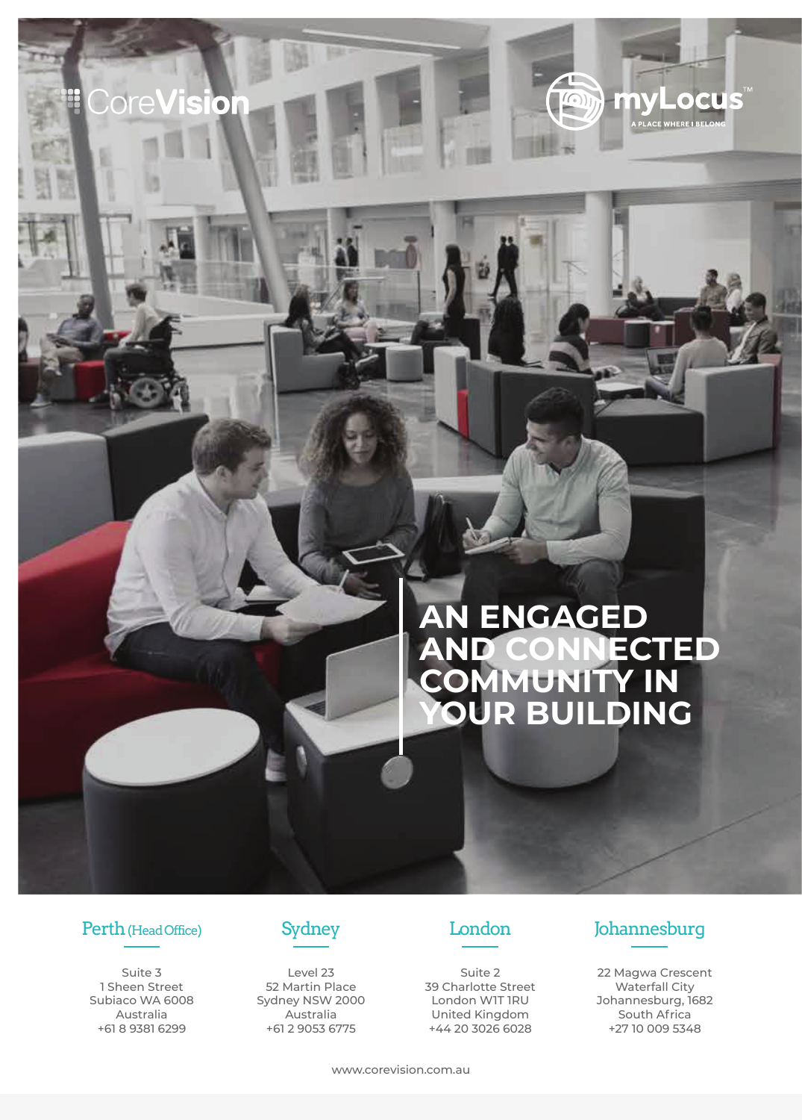# **AN ENGAGED AND CONNECTED COMMUNITY IN YOUR BUILDING**

 $\sqrt{2}$ 

 $(\odot)$ 

li n

 $\bullet$ 

A PLACE WHERE I B

## Perth (Head Office) Sydney London Johannesburg

**CoreVision** 

Suite 3 1 Sheen Street Subiaco WA 6008 Australia +61 8 9381 6299



Level 23 52 Martin Place Sydney NSW 2000 Australia +61 2 9053 6775



Suite 2 39 Charlotte Street London W1T 1RU United Kingdom +44 20 3026 6028

22 Magwa Crescent Waterfall City Johannesburg, 1682 South Africa +27 10 009 5348

www.corevision.com.au